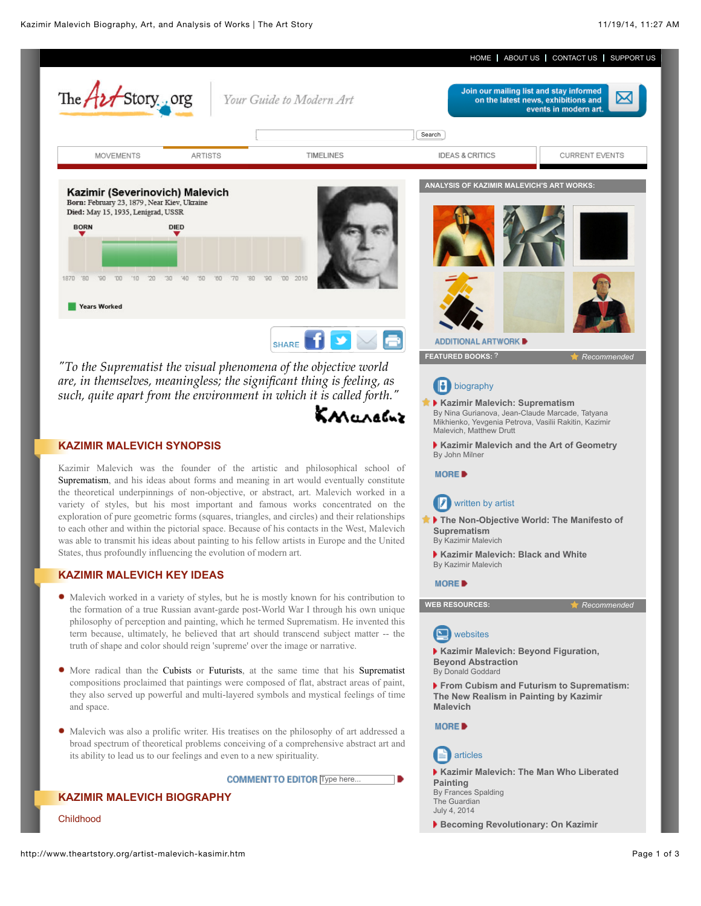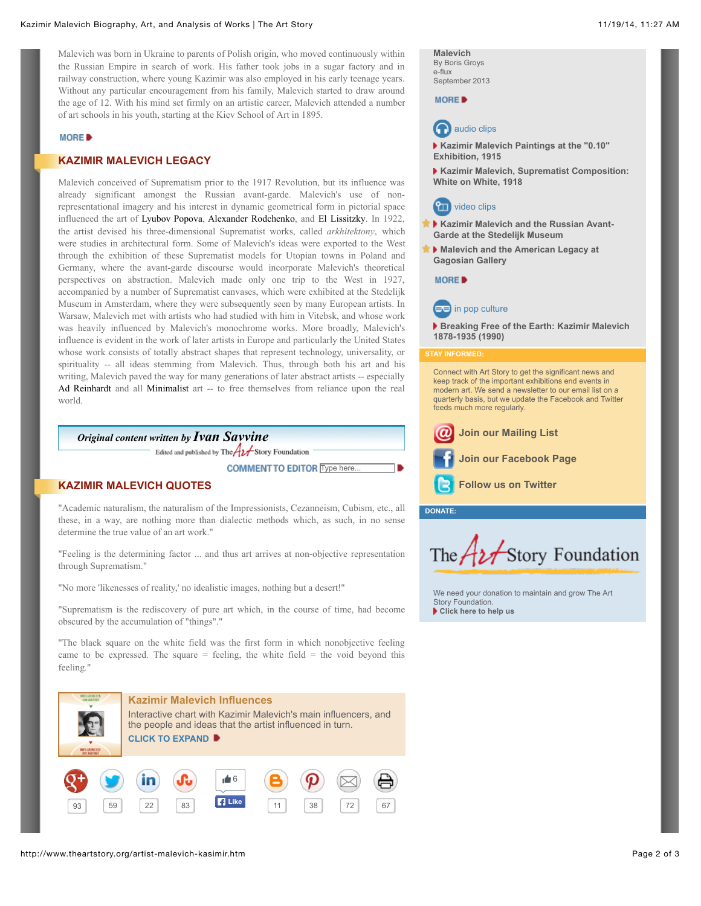Malevich was born in Ukraine to parents of Polish origin, who moved continuously within the Russian Empire in search of work. His father took jobs in a sugar factory and in railway construction, where young Kazimir was also employed in his early teenage years. Without any particular encouragement from his family, Malevich started to draw around the age of 12. With his mind set firmly on an artistic career, Malevich attended a number of art schools in his youth, starting at the Kiev School of Art in 1895.

#### **MORE**

## **KAZIMIR MALEVICH LEGACY**

Malevich conceived of Suprematism prior to the 1917 Revolution, but its influence was already significant amongst the Russian avant-garde. Malevich's use of nonrepresentational imagery and his interest in dynamic geometrical form in pictorial space influenced the art of Lyubov Popova, Alexander Rodchenko, and El Lissitzky. In 1922, the artist devised his three-dimensional Suprematist works, called *arkhitektony*, which were studies in architectural form. Some of Malevich's ideas were exported to the West through the exhibition of these Suprematist models for Utopian towns in Poland and Germany, where the avant-garde discourse would incorporate Malevich's theoretical perspectives on abstraction. Malevich made only one trip to the West in 1927, accompanied by a number of Suprematist canvases, which were exhibited at the Stedelijk Museum in Amsterdam, where they were subsequently seen by many European artists. In Warsaw, Malevich met with artists who had studied with him in Vitebsk, and whose work was heavily influenced by Malevich's monochrome works. More broadly, Malevich's influence is evident in the work of later artists in Europe and particularly the United States whose work consists of totally abstract shapes that represent technology, universality, or spirituality -- all ideas stemming from Malevich. Thus, through both his art and his writing, Malevich paved the way for many generations of later abstract artists -- especially Ad Reinhardt and all Minimalist art -- to free themselves from reliance upon the real world.

*Original content written by [Ivan Savvine](http://www.theartstory.org/about_us.htm#savvine)* Edited and published by The  $A2$  Story Foundation

**COMMENT TO EDITOR** Type here...

## **KAZIMIR MALEVICH QUOTES**

"Academic naturalism, the naturalism of the Impressionists, Cezanneism, Cubism, etc., all these, in a way, are nothing more than dialectic methods which, as such, in no sense determine the true value of an art work."

"Feeling is the determining factor ... and thus art arrives at non-objective representation through Suprematism."

"No more 'likenesses of reality,' no idealistic images, nothing but a desert!"

"Suprematism is the rediscovery of pure art which, in the course of time, had become obscured by the accumulation of "things"."

"The black square on the white field was the first form in which nonobjective feeling came to be expressed. The square  $=$  feeling, the white field  $=$  the void beyond this feeling."



**[Malevich](http://www.e-flux.com/journal/becoming-revolutionary-on-kazimir-malevich/)** By Boris Groys e-flux September 2013

**MORE** 



**[Kazimir Malevich Paintings at the "0.10"](http://www.moma.org/explore/multimedia/audios/339/4316) Exhibition, 1915**

**[Kazimir Malevich, Suprematist Composition:](http://www.moma.org/explore/multimedia/audios/371/5899) White on White, 1918**

# **PTT** video clips

- **[Kazimir Malevich and the Russian Avant-](http://vimeo.com/79083756)Garde at the Stedelijk Museum**
- **[Malevich and the American Legacy at](http://www.gagosian.com/exhibitions/march-03-2011--malevich-and-the-american-legacy) Gagosian Gallery**

### MORE<sup>D</sup>



**[Breaking Free of the Earth: Kazimir Malevich](http://www.amazon.com/gp/product/B000007TT7/ref=as_li_tf_tl?tag=tharst-20) 1878-1935 (1990)**

### **STAY INFORMED:**

Connect with Art Story to get the significant news and keep track of the important exhibitions end events in modern art. We send a newsletter to our email list on a quarterly basis, but we update the Facebook and Twitter feeds much more regularly.



**[Follow us on Twitter](http://twitter.com/TheArtStory)**

**DONATE:**



[We need your donation to maintain and grow The Art](http://www.theartstory.org/donate.htm) Story Foundation. **[Click here to help us](http://www.theartstory.org/donate.htm)**